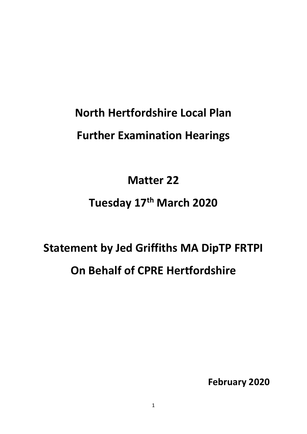# **North Hertfordshire Local Plan Further Examination Hearings**

**Matter 22**

# **Tuesday 17th March 2020**

# **Statement by Jed Griffiths MA DipTP FRTPI On Behalf of CPRE Hertfordshire**

**February 2020**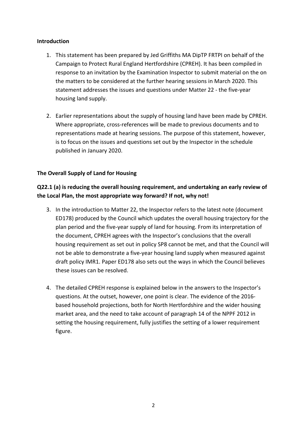#### **Introduction**

- 1. This statement has been prepared by Jed Griffiths MA DipTP FRTPI on behalf of the Campaign to Protect Rural England Hertfordshire (CPREH). It has been compiled in response to an invitation by the Examination Inspector to submit material on the on the matters to be considered at the further hearing sessions in March 2020. This statement addresses the issues and questions under Matter 22 - the five-year housing land supply.
- 2. Earlier representations about the supply of housing land have been made by CPREH. Where appropriate, cross-references will be made to previous documents and to representations made at hearing sessions. The purpose of this statement, however, is to focus on the issues and questions set out by the Inspector in the schedule published in January 2020.

#### **The Overall Supply of Land for Housing**

### **Q22.1 (a) is reducing the overall housing requirement, and undertaking an early review of the Local Plan, the most appropriate way forward? If not, why not!**

- 3. In the introduction to Matter 22, the Inspector refers to the latest note (document ED178) produced by the Council which updates the overall housing trajectory for the plan period and the five-year supply of land for housing. From its interpretation of the document, CPREH agrees with the Inspector's conclusions that the overall housing requirement as set out in policy SP8 cannot be met, and that the Council will not be able to demonstrate a five-year housing land supply when measured against draft policy IMR1. Paper ED178 also sets out the ways in which the Council believes these issues can be resolved.
- 4. The detailed CPREH response is explained below in the answers to the Inspector's questions. At the outset, however, one point is clear. The evidence of the 2016 based household projections, both for North Hertfordshire and the wider housing market area, and the need to take account of paragraph 14 of the NPPF 2012 in setting the housing requirement, fully justifies the setting of a lower requirement figure.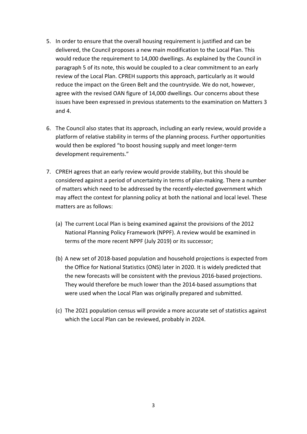- 5. In order to ensure that the overall housing requirement is justified and can be delivered, the Council proposes a new main modification to the Local Plan. This would reduce the requirement to 14,000 dwellings. As explained by the Council in paragraph 5 of its note, this would be coupled to a clear commitment to an early review of the Local Plan. CPREH supports this approach, particularly as it would reduce the impact on the Green Belt and the countryside. We do not, however, agree with the revised OAN figure of 14,000 dwellings. Our concerns about these issues have been expressed in previous statements to the examination on Matters 3 and 4.
- 6. The Council also states that its approach, including an early review, would provide a platform of relative stability in terms of the planning process. Further opportunities would then be explored "to boost housing supply and meet longer-term development requirements."
- 7. CPREH agrees that an early review would provide stability, but this should be considered against a period of uncertainty in terms of plan-making. There a number of matters which need to be addressed by the recently-elected government which may affect the context for planning policy at both the national and local level. These matters are as follows:
	- (a) The current Local Plan is being examined against the provisions of the 2012 National Planning Policy Framework (NPPF). A review would be examined in terms of the more recent NPPF (July 2019) or its successor;
	- (b) A new set of 2018-based population and household projections is expected from the Office for National Statistics (ONS) later in 2020. It is widely predicted that the new forecasts will be consistent with the previous 2016-based projections. They would therefore be much lower than the 2014-based assumptions that were used when the Local Plan was originally prepared and submitted.
	- (c) The 2021 population census will provide a more accurate set of statistics against which the Local Plan can be reviewed, probably in 2024.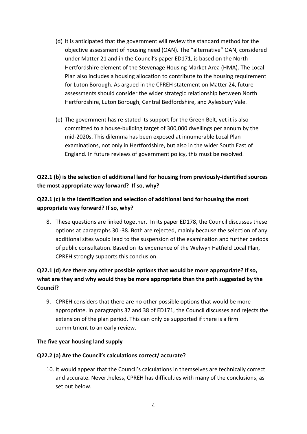- (d) It is anticipated that the government will review the standard method for the objective assessment of housing need (OAN). The "alternative" OAN, considered under Matter 21 and in the Council's paper ED171, is based on the North Hertfordshire element of the Stevenage Housing Market Area (HMA). The Local Plan also includes a housing allocation to contribute to the housing requirement for Luton Borough. As argued in the CPREH statement on Matter 24, future assessments should consider the wider strategic relationship between North Hertfordshire, Luton Borough, Central Bedfordshire, and Aylesbury Vale.
- (e) The government has re-stated its support for the Green Belt, yet it is also committed to a house-building target of 300,000 dwellings per annum by the mid-2020s. This dilemma has been exposed at innumerable Local Plan examinations, not only in Hertfordshire, but also in the wider South East of England. In future reviews of government policy, this must be resolved.

#### **Q22.1 (b) is the selection of additional land for housing from previously-identified sources the most appropriate way forward? If so, why?**

#### **Q22.1 (c) is the identification and selection of additional land for housing the most appropriate way forward? If so, why?**

8. These questions are linked together. In its paper ED178, the Council discusses these options at paragraphs 30 -38. Both are rejected, mainly because the selection of any additional sites would lead to the suspension of the examination and further periods of public consultation. Based on its experience of the Welwyn Hatfield Local Plan, CPREH strongly supports this conclusion.

# **Q22.1 (d) Are there any other possible options that would be more appropriate? If so, what are they and why would they be more appropriate than the path suggested by the Council?**

9. CPREH considers that there are no other possible options that would be more appropriate. In paragraphs 37 and 38 of ED171, the Council discusses and rejects the extension of the plan period. This can only be supported if there is a firm commitment to an early review.

#### **The five year housing land supply**

#### **Q22.2 (a) Are the Council's calculations correct/ accurate?**

10. It would appear that the Council's calculations in themselves are technically correct and accurate. Nevertheless, CPREH has difficulties with many of the conclusions, as set out below.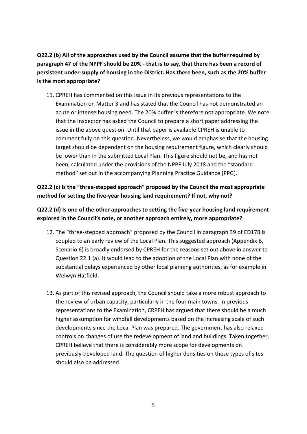**Q22.2 (b) All of the approaches used by the Council assume that the buffer required by paragraph 47 of the NPPF should be 20% - that is to say, that there has been a record of persistent under-supply of housing in the District. Has there been, such as the 20% buffer is the most appropriate?**

11. CPREH has commented on this issue in its previous representations to the Examination on Matter 3 and has stated that the Council has not demonstrated an acute or intense housing need. The 20% buffer is therefore not appropriate. We note that the Inspector has asked the Council to prepare a short paper addressing the issue in the above question. Until that paper is available CPREH is unable to comment fully on this question. Nevertheless, we would emphasise that the housing target should be dependent on the housing requirement figure, which clearly should be lower than in the submitted Local Plan. This figure should not be, and has not been, calculated under the provisions of the NPPF July 2018 and the "standard method" set out in the accompanying Planning Practice Guidance (PPG).

# **Q22.2 (c) Is the "three-stepped approach" proposed by the Council the most appropriate method for setting the five-year housing land requirement? If not, why not?**

### **Q22.2 (d) Is one of the other approaches to setting the five-year housing land requirement explored in the Council's note, or another approach entirely, more appropriate?**

- 12. The "three-stepped approach" proposed by the Council in paragraph 39 of ED178 is coupled to an early review of the Local Plan. This suggested approach (Appendix B, Scenario 6) is broadly endorsed by CPREH for the reasons set out above in answer to Question 22.1 (a). It would lead to the adoption of the Local Plan with none of the substantial delays experienced by other local planning authorities, as for example in Welwyn Hatfield.
- 13. As part of this revised approach, the Council should take a more robust approach to the review of urban capacity, particularly in the four main towns. In previous representations to the Examination, CRPEH has argued that there should be a much higher assumption for windfall developments based on the increasing scale of such developments since the Local Plan was prepared. The government has also relaxed controls on changes of use the redevelopment of land and buildings. Taken together, CPREH believe that there is considerably more scope for developments on previously-developed land. The question of higher densities on these types of sites should also be addressed.